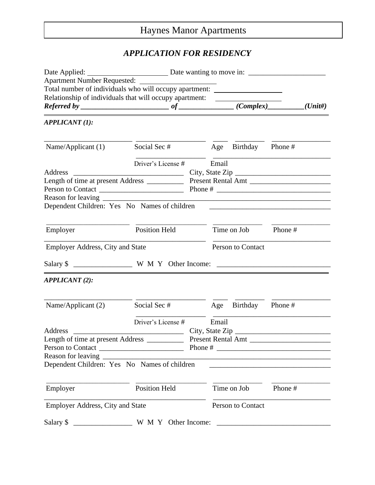# Haynes Manor Apartments

# *APPLICATION FOR RESIDENCY*

| Total number of individuals who will occupy apartment: _________________________ |                                                                                                                      |                                                         |                                                    |                      |                                                                                                                                                                                                                               |            |
|----------------------------------------------------------------------------------|----------------------------------------------------------------------------------------------------------------------|---------------------------------------------------------|----------------------------------------------------|----------------------|-------------------------------------------------------------------------------------------------------------------------------------------------------------------------------------------------------------------------------|------------|
|                                                                                  |                                                                                                                      | Relationship of individuals that will occupy apartment: |                                                    |                      |                                                                                                                                                                                                                               | $(U$ nit#) |
|                                                                                  |                                                                                                                      |                                                         | $Referred by _______ of _______ (Complex) _______$ |                      |                                                                                                                                                                                                                               |            |
| <b>APPLICANT (1):</b>                                                            |                                                                                                                      |                                                         |                                                    |                      |                                                                                                                                                                                                                               |            |
| Name/Applicant $(1)$                                                             | Social Sec #                                                                                                         |                                                         |                                                    | Age Birthday Phone # |                                                                                                                                                                                                                               |            |
| Address                                                                          | Driver's License #                                                                                                   |                                                         | Email                                              |                      |                                                                                                                                                                                                                               |            |
|                                                                                  |                                                                                                                      |                                                         |                                                    |                      |                                                                                                                                                                                                                               |            |
| Person to Contact                                                                |                                                                                                                      |                                                         |                                                    |                      |                                                                                                                                                                                                                               |            |
|                                                                                  |                                                                                                                      |                                                         |                                                    |                      |                                                                                                                                                                                                                               |            |
| Dependent Children: Yes No Names of children                                     |                                                                                                                      |                                                         |                                                    |                      |                                                                                                                                                                                                                               |            |
|                                                                                  |                                                                                                                      |                                                         |                                                    |                      |                                                                                                                                                                                                                               |            |
| Employer                                                                         | <b>Position Held</b>                                                                                                 |                                                         |                                                    | Time on Job          | Phone#                                                                                                                                                                                                                        |            |
|                                                                                  |                                                                                                                      |                                                         |                                                    |                      |                                                                                                                                                                                                                               |            |
| <b>Employer Address, City and State</b>                                          |                                                                                                                      |                                                         |                                                    | Person to Contact    |                                                                                                                                                                                                                               |            |
|                                                                                  |                                                                                                                      |                                                         |                                                    |                      |                                                                                                                                                                                                                               |            |
| <b>APPLICANT</b> (2):                                                            |                                                                                                                      |                                                         |                                                    |                      |                                                                                                                                                                                                                               |            |
| Name/Applicant (2)                                                               | Social Sec #                                                                                                         |                                                         | Age                                                | Birthday Phone #     |                                                                                                                                                                                                                               |            |
|                                                                                  | Driver's License #                                                                                                   |                                                         | Email                                              |                      |                                                                                                                                                                                                                               |            |
| Address                                                                          | <u> La Carlo Carlo Carlo Carlo Carlo Carlo Carlo Carlo Carlo Carlo Carlo Carlo Carlo Carlo Carlo Carlo Carlo Car</u> |                                                         |                                                    |                      |                                                                                                                                                                                                                               |            |
| Length of time at present Address ______                                         |                                                                                                                      | <b>Present Rental Amt</b>                               |                                                    |                      |                                                                                                                                                                                                                               |            |
| Person to Contact                                                                |                                                                                                                      |                                                         |                                                    |                      |                                                                                                                                                                                                                               |            |
| Reason for leaving                                                               |                                                                                                                      |                                                         |                                                    |                      |                                                                                                                                                                                                                               |            |
| Dependent Children: Yes No Names of children                                     |                                                                                                                      |                                                         |                                                    |                      | the control of the control of the control of the control of the control of the control of the control of the control of the control of the control of the control of the control of the control of the control of the control |            |
|                                                                                  |                                                                                                                      |                                                         |                                                    |                      |                                                                                                                                                                                                                               |            |
| Employer                                                                         | <b>Position Held</b>                                                                                                 |                                                         |                                                    | Time on Job          | Phone#                                                                                                                                                                                                                        |            |
| <b>Employer Address, City and State</b>                                          |                                                                                                                      |                                                         | Person to Contact                                  |                      |                                                                                                                                                                                                                               |            |
| Salary \$                                                                        | W M Y Other Income:                                                                                                  |                                                         |                                                    |                      |                                                                                                                                                                                                                               |            |